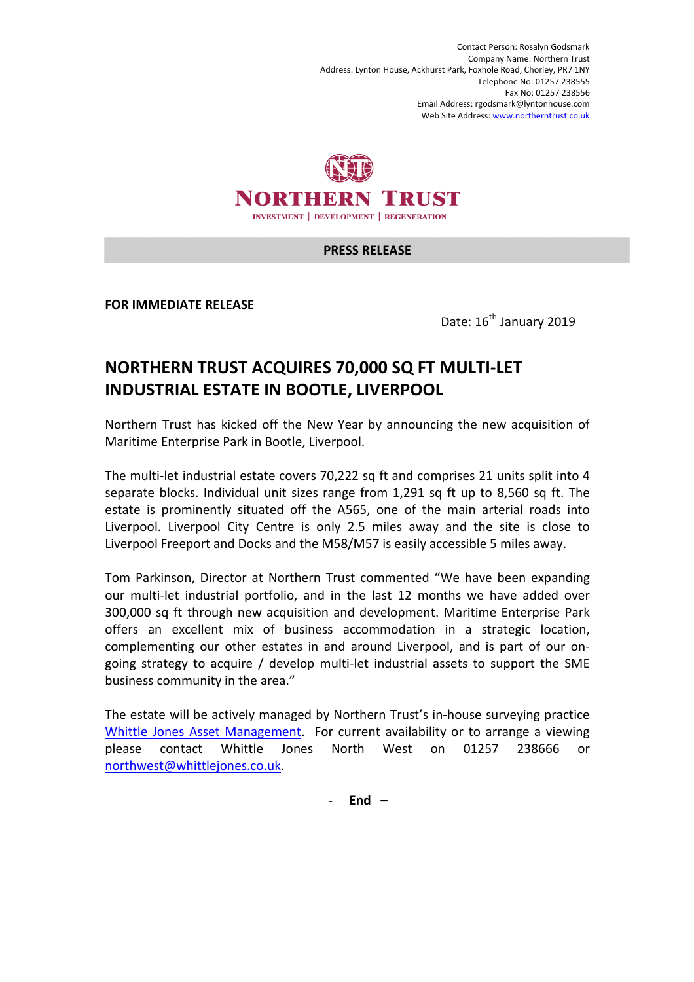Contact Person: Rosalyn Godsmark Company Name: Northern Trust Address: Lynton House, Ackhurst Park, Foxhole Road, Chorley, PR7 1NY Telephone No: 01257 238555 Fax No: 01257 238556 Email Address: rgodsmark@lyntonhouse.com Web Site Address: www.northerntrust.co.uk



## **PRESS RELEASE**

**FOR IMMEDIATE RELEASE** 

Date:  $16^{th}$  January 2019

## **NORTHERN TRUST ACQUIRES 70,000 SQ FT MULTI-LET INDUSTRIAL ESTATE IN BOOTLE, LIVERPOOL**

Northern Trust has kicked off the New Year by announcing the new acquisition of Maritime Enterprise Park in Bootle, Liverpool.

The multi-let industrial estate covers 70,222 sq ft and comprises 21 units split into 4 separate blocks. Individual unit sizes range from 1,291 sq ft up to 8,560 sq ft. The estate is prominently situated off the A565, one of the main arterial roads into Liverpool. Liverpool City Centre is only 2.5 miles away and the site is close to Liverpool Freeport and Docks and the M58/M57 is easily accessible 5 miles away.

Tom Parkinson, Director at Northern Trust commented "We have been expanding our multi-let industrial portfolio, and in the last 12 months we have added over 300,000 sq ft through new acquisition and development. Maritime Enterprise Park offers an excellent mix of business accommodation in a strategic location, complementing our other estates in and around Liverpool, and is part of our ongoing strategy to acquire / develop multi-let industrial assets to support the SME business community in the area."

The estate will be actively managed by Northern Trust's in-house surveying practice Whittle Jones Asset Management. For current availability or to arrange a viewing please contact Whittle Jones North West on 01257 238666 or northwest@whittlejones.co.uk.

- **End –**